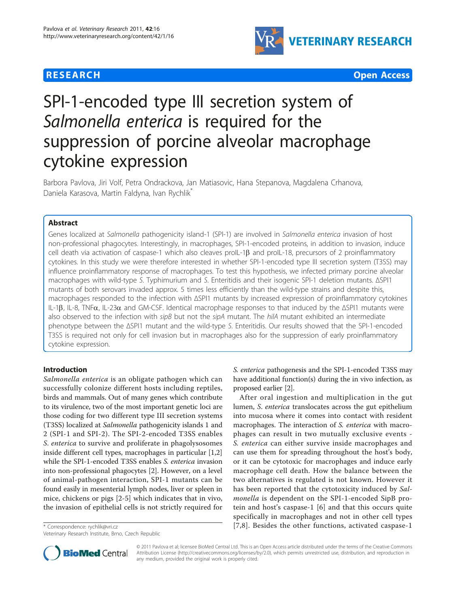





# SPI-1-encoded type III secretion system of Salmonella enterica is required for the suppression of porcine alveolar macrophage cytokine expression

Barbora Pavlova, Jiri Volf, Petra Ondrackova, Jan Matiasovic, Hana Stepanova, Magdalena Crhanova, Daniela Karasova, Martin Faldyna, Ivan Rychlik

# Abstract

Genes localized at Salmonella pathogenicity island-1 (SPI-1) are involved in Salmonella enterica invasion of host non-professional phagocytes. Interestingly, in macrophages, SPI-1-encoded proteins, in addition to invasion, induce cell death via activation of caspase-1 which also cleaves proIL-1 $\beta$  and proIL-18, precursors of 2 proinflammatory cytokines. In this study we were therefore interested in whether SPI-1-encoded type III secretion system (T3SS) may influence proinflammatory response of macrophages. To test this hypothesis, we infected primary porcine alveolar macrophages with wild-type S. Typhimurium and S. Enteritidis and their isogenic SPI-1 deletion mutants. ΔSPI1 mutants of both serovars invaded approx. 5 times less efficiently than the wild-type strains and despite this, macrophages responded to the infection with ΔSPI1 mutants by increased expression of proinflammatory cytokines IL-1β, IL-8, TNF $\alpha$ , IL-23 $\alpha$  and GM-CSF. Identical macrophage responses to that induced by the ΔSPI1 mutants were also observed to the infection with sipB but not the sipA mutant. The hilA mutant exhibited an intermediate phenotype between the ΔSPI1 mutant and the wild-type S. Enteritidis. Our results showed that the SPI-1-encoded T3SS is required not only for cell invasion but in macrophages also for the suppression of early proinflammatory cytokine expression.

# Introduction

Salmonella enterica is an obligate pathogen which can successfully colonize different hosts including reptiles, birds and mammals. Out of many genes which contribute to its virulence, two of the most important genetic loci are those coding for two different type III secretion systems (T3SS) localized at Salmonella pathogenicity islands 1 and 2 (SPI-1 and SPI-2). The SPI-2-encoded T3SS enables S. enterica to survive and proliferate in phagolysosomes inside different cell types, macrophages in particular [\[1](#page-6-0),[2](#page-6-0)] while the SPI-1-encoded T3SS enables S. enterica invasion into non-professional phagocytes [\[2](#page-6-0)]. However, on a level of animal-pathogen interaction, SPI-1 mutants can be found easily in mesenterial lymph nodes, liver or spleen in mice, chickens or pigs [[2-5](#page-6-0)] which indicates that in vivo, the invasion of epithelial cells is not strictly required for

Veterinary Research Institute, Brno, Czech Republic

S. enterica pathogenesis and the SPI-1-encoded T3SS may have additional function(s) during the in vivo infection, as proposed earlier [[2\]](#page-6-0).

After oral ingestion and multiplication in the gut lumen, S. enterica translocates across the gut epithelium into mucosa where it comes into contact with resident macrophages. The interaction of S. enterica with macrophages can result in two mutually exclusive events - S. enterica can either survive inside macrophages and can use them for spreading throughout the host's body, or it can be cytotoxic for macrophages and induce early macrophage cell death. How the balance between the two alternatives is regulated is not known. However it has been reported that the cytotoxicity induced by Salmonella is dependent on the SPI-1-encoded SipB protein and host's caspase-1 [[6](#page-6-0)] and that this occurs quite specifically in macrophages and not in other cell types \* Correspondence: [rychlik@vri.cz](mailto:rychlik@vri.cz) **https://educations/activated/englenations/activated caspase-1** [[7](#page-6-0),[8\]](#page-6-0). Besides the other functions, activated caspase-1



© 2011 Pavlova et al; licensee BioMed Central Ltd. This is an Open Access article distributed under the terms of the Creative Commons Attribution License [\(http://creativecommons.org/licenses/by/2.0](http://creativecommons.org/licenses/by/2.0)), which permits unrestricted use, distribution, and reproduction in any medium, provided the original work is properly cited.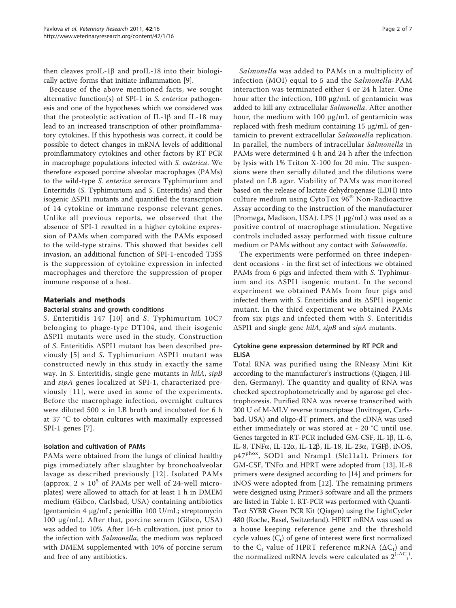then cleaves proIL-1 $\beta$  and proIL-18 into their biologically active forms that initiate inflammation [[9\]](#page-6-0).

Because of the above mentioned facts, we sought alternative function(s) of SPI-1 in S. enterica pathogenesis and one of the hypotheses which we considered was that the proteolytic activation of IL-1 $\beta$  and IL-18 may lead to an increased transcription of other proinflammatory cytokines. If this hypothesis was correct, it could be possible to detect changes in mRNA levels of additional proinflammatory cytokines and other factors by RT PCR in macrophage populations infected with S. enterica. We therefore exposed porcine alveolar macrophages (PAMs) to the wild-type S. enterica serovars Typhimurium and Enteritidis (S. Typhimurium and S. Enteritidis) and their isogenic ΔSPI1 mutants and quantified the transcription of 14 cytokine or immune response relevant genes. Unlike all previous reports, we observed that the absence of SPI-1 resulted in a higher cytokine expression of PAMs when compared with the PAMs exposed to the wild-type strains. This showed that besides cell invasion, an additional function of SPI-1-encoded T3SS is the suppression of cytokine expression in infected macrophages and therefore the suppression of proper immune response of a host.

## Materials and methods

#### Bacterial strains and growth conditions

S. Enteritidis 147 [[10\]](#page-6-0) and S. Typhimurium 10C7 belonging to phage-type DT104, and their isogenic ΔSPI1 mutants were used in the study. Construction of S. Enteritidis ΔSPI1 mutant has been described pre-viously [[5](#page-6-0)] and S. Typhimurium  $\Delta$ SPI1 mutant was constructed newly in this study in exactly the same way. In S. Enteritidis, single gene mutants in hilA, sipB and sipA genes localized at SPI-1, characterized previously [[11\]](#page-6-0), were used in some of the experiments. Before the macrophage infection, overnight cultures were diluted 500  $\times$  in LB broth and incubated for 6 h at 37 °C to obtain cultures with maximally expressed SPI-1 genes [\[7](#page-6-0)].

#### Isolation and cultivation of PAMs

PAMs were obtained from the lungs of clinical healthy pigs immediately after slaughter by bronchoalveolar lavage as described previously [[12\]](#page-6-0). Isolated PAMs (approx.  $2 \times 10^5$  of PAMs per well of 24-well microplates) were allowed to attach for at least 1 h in DMEM medium (Gibco, Carlsbad, USA) containing antibiotics (gentamicin 4 μg/mL; penicillin 100 U/mL; streptomycin 100 μg/mL). After that, porcine serum (Gibco, USA) was added to 10%. After 16-h cultivation, just prior to the infection with Salmonella, the medium was replaced with DMEM supplemented with 10% of porcine serum and free of any antibiotics.

Salmonella was added to PAMs in a multiplicity of infection (MOI) equal to 5 and the Salmonella-PAM interaction was terminated either 4 or 24 h later. One hour after the infection, 100 μg/mL of gentamicin was added to kill any extracellular Salmonella. After another hour, the medium with 100 μg/mL of gentamicin was replaced with fresh medium containing 15 μg/mL of gentamicin to prevent extracellular Salmonella replication. In parallel, the numbers of intracellular Salmonella in PAMs were determined 4 h and 24 h after the infection by lysis with 1% Triton X-100 for 20 min. The suspensions were then serially diluted and the dilutions were plated on LB agar. Viability of PAMs was monitored based on the release of lactate dehydrogenase (LDH) into culture medium using CytoTox 96® Non-Radioactive Assay according to the instruction of the manufacturer (Promega, Madison, USA). LPS (1 μg/mL) was used as a positive control of macrophage stimulation. Negative controls included assay performed with tissue culture medium or PAMs without any contact with Salmonella.

The experiments were performed on three independent occasions - in the first set of infections we obtained PAMs from 6 pigs and infected them with S. Typhimurium and its ΔSPI1 isogenic mutant. In the second experiment we obtained PAMs from four pigs and infected them with S. Enteritidis and its ΔSPI1 isogenic mutant. In the third experiment we obtained PAMs from six pigs and infected them with S. Enteritidis ΔSPI1 and single gene hilA, sipB and sipA mutants.

## Cytokine gene expression determined by RT PCR and ELISA

Total RNA was purified using the RNeasy Mini Kit according to the manufacturer's instructions (Qiagen, Hilden, Germany). The quantity and quality of RNA was checked spectrophotometrically and by agarose gel electrophoresis. Purified RNA was reverse transcribed with 200 U of M-MLV reverse transcriptase (Invitrogen, Carlsbad, USA) and oligo-dT primers, and the cDNA was used either immediately or was stored at - 20 °C until use. Genes targeted in RT-PCR included GM-CSF, IL-1 $\beta$ , IL-6, IL-8, TNF $\alpha$ , IL-12 $\alpha$ , IL-12 $\beta$ , IL-18, IL-23 $\alpha$ , TGF $\beta$ , iNOS, p47phox, SOD1 and Nramp1 (Slc11a1). Primers for GM-CSF, TNFa and HPRT were adopted from [\[13](#page-6-0)], IL-8 primers were designed according to [\[14](#page-6-0)] and primers for iNOS were adopted from [[12\]](#page-6-0). The remaining primers were designed using Primer3 software and all the primers are listed in Table [1.](#page-2-0) RT-PCR was performed with Quanti-Tect SYBR Green PCR Kit (Qiagen) using the LightCycler 480 (Roche, Basel, Switzerland). HPRT mRNA was used as a house keeping reference gene and the threshold cycle values  $(C_t)$  of gene of interest were first normalized to the  $C_t$  value of HPRT reference mRNA ( $\Delta C_t$ ) and the normalized mRNA levels were calculated as  $2^{(-\Delta C)}$ .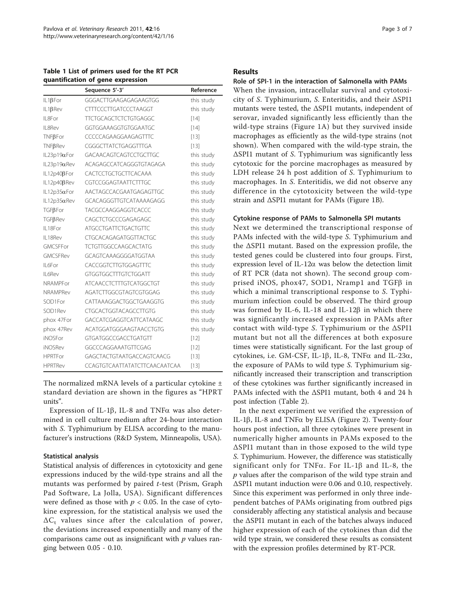<span id="page-2-0"></span>Table 1 List of primers used for the RT PCR quantification of gene expression

|                     | Sequence 5'-3'                 | Reference  |
|---------------------|--------------------------------|------------|
| $IL1\beta$ For      | GGGACTTGAAGAGAGAAGTGG          | this study |
| IL1BRev             | <b>CTTTCCCTTGATCCCTAAGGT</b>   | this study |
| II 8For             | <b>TTCTGCAGCTCTCTGTGAGGC</b>   | $[14]$     |
| II 8Rev             | GGTGGAAAGGTGTGGAATGC           | $[14]$     |
| $TNF\beta For$      | CCCCCAGAAGGAAGAGTTTC           | $[13]$     |
| $TNF\beta Rev$      | CGGGCTTATCTGAGGTTTGA           | $[13]$     |
| $IL23p19\alpha For$ | <b>GACAACAGTCAGTCCTGCTTGC</b>  | this study |
| $IL23p19\alpha$ Rev | ACAGAGCCATCAGGGTGTAGAGA        | this study |
| IL12p40ßFor         | CACTCCTGCTGCTTCACAAA           | this study |
| IL12p40βRev         | CGTCCGGAGTAATTCTTTGC           | this study |
| $IL12p35\alpha For$ | AACTAGCCACGAATGAGAGTTGC        | this study |
| $IL12p35\alpha$ Rev | GCACAGGGTTGTCATAAAAGAGG        | this study |
| $TGF\beta For$      | TACGCCAAGGAGGTCACCC            | this study |
| <b>TGFβReν</b>      | CAGCTCTGCCCGAGAGAGC            | this study |
| II 18For            | <b>ATGCCTGATTCTGACTGTTC</b>    | this study |
| II 18Rev            | <b>CTGCACAGAGATGGTTACTGC</b>   | this study |
| GMCSFFor            | <b>TCTGTTGGCCAAGCACTATG</b>    | this study |
| <b>GMCSFRev</b>     | GCAGTCAAAGGGGATGGTAA           | this study |
| II 6For             | CACCGGTCTTGTGGAGTTTC           | this study |
| II 6Rev             | <b>GTGGTGGCTTTGTCTGGATT</b>    | this study |
| <b>NRAMPFor</b>     | <b>ATCAACCTCTTTGTCATGGCTGT</b> | this study |
| NRAMPRev            | AGATCTTGGCGTAGTCGTGGAG         | this study |
| SOD1For             | CATTAAAGGACTGGCTGAAGGTG        | this study |
| SOD1Rev             | CTGCACTGGTACAGCCTTGTG          | this study |
| phox 47For          | GACCATCGAGGTCATTCATAAGC        | this study |
| phox 47Rev          | ACATGGATGGGAAGTAACCTGTG        | this study |
| <b>iNOSFor</b>      | <b>GTGATGGCCGACCTGATGTT</b>    | $[12]$     |
| <b>iNOSRev</b>      | GGCCCAGGAAATGTTCGAG            | $[12]$     |
| <b>HPRTFor</b>      | GAGCTACTGTAATGACCAGTCAACG      | $[13]$     |
| <b>HPRTRev</b>      | CCAGTGTCAATTATATCTTCAACAATCAA  | $[13]$     |

The normalized mRNA levels of a particular cytokine ± standard deviation are shown in the figures as "HPRT units".

Expression of IL-1 $\beta$ , IL-8 and TNF $\alpha$  was also determined in cell culture medium after 24-hour interaction with S. Typhimurium by ELISA according to the manufacturer's instructions (R&D System, Minneapolis, USA).

## Statistical analysis

Statistical analysis of differences in cytotoxicity and gene expressions induced by the wild-type strains and all the mutants was performed by paired t-test (Prism, Graph Pad Software, La Jolla, USA). Significant differences were defined as those with  $p < 0.05$ . In the case of cytokine expression, for the statistical analysis we used the  $\Delta C_t$  values since after the calculation of power, the deviations increased exponentially and many of the comparisons came out as insignificant with  $p$  values ranging between 0.05 - 0.10.

# Results

## Role of SPI-1 in the interaction of Salmonella with PAMs

When the invasion, intracellular survival and cytotoxicity of S. Typhimurium, S. Enteritidis, and their ΔSPI1 mutants were tested, the ΔSPI1 mutants, independent of serovar, invaded significantly less efficiently than the wild-type strains (Figure [1A](#page-3-0)) but they survived inside macrophages as efficiently as the wild-type strains (not shown). When compared with the wild-type strain, the ΔSPI1 mutant of S. Typhimurium was significantly less cytotoxic for the porcine macrophages as measured by LDH release 24 h post addition of S. Typhimurium to macrophages. In S. Enteritidis, we did not observe any difference in the cytotoxicity between the wild-type strain and ΔSPI1 mutant for PAMs (Figure [1B](#page-3-0)).

## Cytokine response of PAMs to Salmonella SPI mutants

Next we determined the transcriptional response of PAMs infected with the wild-type S. Typhimurium and the ΔSPI1 mutant. Based on the expression profile, the tested genes could be clustered into four groups. First, expression level of IL-12 $\alpha$  was below the detection limit of RT PCR (data not shown). The second group comprised iNOS, phox47, SOD1, Nramp1 and TGFB in which a minimal transcriptional response to S. Typhimurium infection could be observed. The third group was formed by IL-6, IL-18 and IL-12 $\beta$  in which there was significantly increased expression in PAMs after contact with wild-type S. Typhimurium or the ΔSPI1 mutant but not all the differences at both exposure times were statistically significant. For the last group of cytokines, i.e. GM-CSF, IL-1 $\beta$ , IL-8, TNF $\alpha$  and IL-23 $\alpha$ , the exposure of PAMs to wild type S. Typhimurium significantly increased their transcription and transcription of these cytokines was further significantly increased in PAMs infected with the ΔSPI1 mutant, both 4 and 24 h post infection (Table [2](#page-3-0)).

In the next experiment we verified the expression of IL-1 $\beta$ , IL-8 and TNF $\alpha$  by ELISA (Figure [2](#page-4-0)). Twenty-four hours post infection, all three cytokines were present in numerically higher amounts in PAMs exposed to the ΔSPI1 mutant than in those exposed to the wild type S. Typhimurium. However, the difference was statistically significant only for TNF $\alpha$ . For IL-1 $\beta$  and IL-8, the p values after the comparison of the wild type strain and ΔSPI1 mutant induction were 0.06 and 0.10, respectively. Since this experiment was performed in only three independent batches of PAMs originating from outbred pigs considerably affecting any statistical analysis and because the ΔSPI1 mutant in each of the batches always induced higher expression of each of the cytokines than did the wild type strain, we considered these results as consistent with the expression profiles determined by RT-PCR.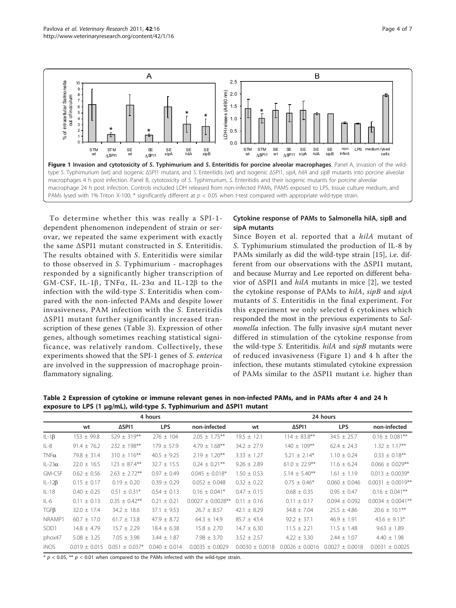<span id="page-3-0"></span>

To determine whether this was really a SPI-1 dependent phenomenon independent of strain or serovar, we repeated the same experiment with exactly the same ΔSPI1 mutant constructed in S. Enteritidis. The results obtained with S. Enteritidis were similar to those observed in S. Typhimurium - macrophages responded by a significantly higher transcription of GM-CSF, IL-1 $\beta$ , TNF $\alpha$ , IL-23 $\alpha$  and IL-12 $\beta$  to the infection with the wild-type S. Enteritidis when compared with the non-infected PAMs and despite lower invasiveness, PAM infection with the S. Enteritidis ΔSPI1 mutant further significantly increased transcription of these genes (Table [3\)](#page-4-0). Expression of other genes, although sometimes reaching statistical significance, was relatively random. Collectively, these experiments showed that the SPI-1 genes of S. enterica are involved in the suppression of macrophage proinflammatory signaling.

# Cytokine response of PAMs to Salmonella hilA, sipB and sipA mutants

Since Boyen et al. reported that a *hilA* mutant of S. Typhimurium stimulated the production of IL-8 by PAMs similarly as did the wild-type strain [[15](#page-6-0)], i.e. different from our observations with the ΔSPI1 mutant, and because Murray and Lee reported on different behavior of ΔSPI1 and hilA mutants in mice [[2](#page-6-0)], we tested the cytokine response of PAMs to hilA, sipB and sipA mutants of S. Enteritidis in the final experiment. For this experiment we only selected 6 cytokines which responded the most in the previous experiments to Salmonella infection. The fully invasive sipA mutant never differed in stimulation of the cytokine response from the wild-type S. Enteritidis.  $hilA$  and  $sipB$  mutants were of reduced invasiveness (Figure 1) and 4 h after the infection, these mutants stimulated cytokine expression of PAMs similar to the ΔSPI1 mutant i.e. higher than

Table 2 Expression of cytokine or immune relevant genes in non-infected PAMs, and in PAMs after 4 and 24 h exposure to LPS (1 μg/mL), wild-type S. Typhimurium and ΔSPI1 mutant

|                  | 4 hours           |                    |                   |                        | 24 hours            |                     |                     |                        |
|------------------|-------------------|--------------------|-------------------|------------------------|---------------------|---------------------|---------------------|------------------------|
|                  | wt                | ΔSPI1              | <b>LPS</b>        | non-infected           | wt                  | ΔSPI1               | <b>LPS</b>          | non-infected           |
| $IL-1\beta$      | $153 \pm 99.8$    | $529 \pm 319***$   | $276 \pm 104$     | $2.05 \pm 1.75***$     | $19.5 \pm 12.1$     | $114 \pm 83.8$ **   | $34.5 \pm 25.7$     | $0.16 \pm 0.081$ **    |
| $IL-8$           | $91.4 \pm 76.2$   | $232 \pm 198$ **   | $179 \pm 57.9$    | $4.79 \pm 1.68***$     | $34.2 \pm 27.9$     | $140 \pm 109***$    | $62.4 \pm 24.3$     | $1.32 \pm 1.17***$     |
| $TNF\alpha$      | $79.8 \pm 31.4$   | $310 \pm 116***$   | $40.5 \pm 9.25$   | $2.19 \pm 1.20***$     | $3.33 \pm 1.27$     | $5.21 \pm 2.14*$    | $1.10 \pm 0.24$     | $0.33 \pm 0.18$ **     |
| $IL-23\alpha$    | $22.0 \pm 16.5$   | $123 \pm 87.4$ **  | $32.7 \pm 15.5$   | $0.24 \pm 0.21$ **     | $9.26 \pm 2.89$     | $61.0 \pm 22.9***$  | $11.6 \pm 6.24$     | $0.066 \pm 0.029$ **   |
| GM-CSF           | $0.62 \pm 0.56$   | $2.63 \pm 2.72$ ** | $0.97 \pm 0.49$   | $0.045 \pm 0.018$ *    | $1.50 \pm 0.53$     | $5.14 \pm 5.40***$  | $1.61 \pm 1.19$     | $0.013 \pm 0.0039*$    |
| $IL-12\beta$     | $0.15 \pm 0.17$   | $0.19 \pm 0.20$    | $0.39 \pm 0.29$   | $0.052 \pm 0.048$      | $0.32 \pm 0.22$     | $0.75 \pm 0.46*$    | $0.060 \pm 0.046$   | $0.0031 \pm 0.0019**$  |
| $IL-18$          | $0.40 \pm 0.25$   | $0.51 \pm 0.31*$   | $0.54 \pm 0.13$   | $0.16 \pm 0.041*$      | $0.47 \pm 0.15$     | $0.68 \pm 0.35$     | $0.95 \pm 0.47$     | $0.16 \pm 0.041$ **    |
| $IL-6$           | $0.11 \pm 0.13$   | $0.35 \pm 0.42$ ** | $0.21 \pm 0.21$   | $0.0027 \pm 0.0028$ ** | $0.11 \pm 0.16$     | $0.11 \pm 0.17$     | $0.094 \pm 0.092$   | $0.0034 \pm 0.0041$ ** |
| $TGF\beta$       | $32.0 \pm 17.4$   | $34.2 \pm 18.6$    | $37.1 \pm 9.53$   | $26.7 \pm 8.57$        | 42.1 $\pm$ 8.29     | $34.8 \pm 7.04$     | $25.5 \pm 4.86$     | $20.6 \pm 10.1***$     |
| NRAMP1           | $60.7 \pm 17.0$   | $61.7 \pm 13.8$    | $47.9 \pm 8.72$   | $64.3 \pm 14.9$        | $85.7 \pm 43.4$     | $92.2 \pm 37.1$     | $46.9 \pm 1.91$     | $43.6 \pm 9.13*$       |
| SOD <sub>1</sub> | $14.8 \pm 4.79$   | $15.7 \pm 2.29$    | $18.4 \pm 6.38$   | $15.8 \pm 2.70$        | $14.7 \pm 6.30$     | $11.5 \pm 2.21$     | $11.5 \pm 1.48$     | $9.63 \pm 1.89$        |
| phox47           | $5.08 \pm 3.25$   | $7.05 \pm 3.98$    | $3.44 \pm 1.87$   | $7.98 \pm 3.70$        | $3.52 \pm 2.57$     | $4.22 \pm 3.30$     | $2.44 \pm 1.07$     | $4.40 \pm 1.98$        |
| <b>iNOS</b>      | $0.019 \pm 0.015$ | $0.051 \pm 0.037*$ | $0.040 \pm 0.014$ | $0.0035 \pm 0.0029$    | $0.0030 \pm 0.0018$ | $0.0026 \pm 0.0016$ | $0.0027 \pm 0.0018$ | 0.0031<br>± 0.0025     |

 $* p < 0.05$ ,  $** p < 0.01$  when compared to the PAMs infected with the wild-type strain.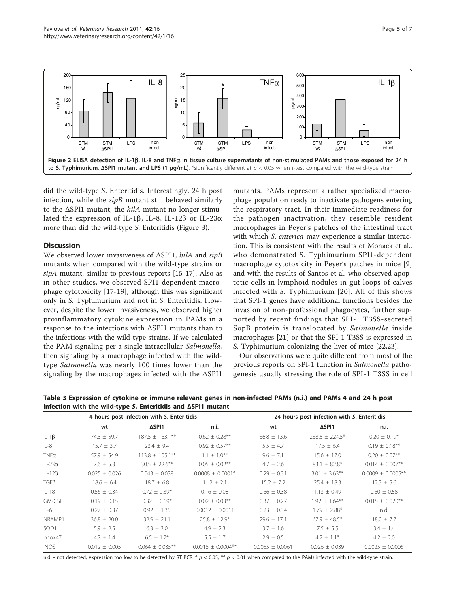<span id="page-4-0"></span>

did the wild-type S. Enteritidis. Interestingly, 24 h post infection, while the  $sipB$  mutant still behaved similarly to the  $\Delta$ SPI1 mutant, the hilA mutant no longer stimulated the expression of IL-1 $\beta$ , IL-8, IL-12 $\beta$  or IL-23 $\alpha$ more than did the wild-type S. Enteritidis (Figure [3](#page-5-0)).

# **Discussion**

We observed lower invasiveness of ΔSPI1, hilA and sipB mutants when compared with the wild-type strains or sipA mutant, similar to previous reports [[15-17\]](#page-6-0). Also as in other studies, we observed SPI1-dependent macrophage cytotoxicity [[17-19](#page-6-0)], although this was significant only in S. Typhimurium and not in S. Enteritidis. However, despite the lower invasiveness, we observed higher proinflammatory cytokine expression in PAMs in a response to the infections with ΔSPI1 mutants than to the infections with the wild-type strains. If we calculated the PAM signaling per a single intracellular Salmonella, then signaling by a macrophage infected with the wildtype Salmonella was nearly 100 times lower than the signaling by the macrophages infected with the ΔSPI1

mutants. PAMs represent a rather specialized macrophage population ready to inactivate pathogens entering the respiratory tract. In their immediate readiness for the pathogen inactivation, they resemble resident macrophages in Peyer's patches of the intestinal tract with which *S. enterica* may experience a similar interaction. This is consistent with the results of Monack et al., who demonstrated S. Typhimurium SPI1-dependent macrophage cytotoxicity in Peyer's patches in mice [\[9](#page-6-0)] and with the results of Santos et al. who observed apoptotic cells in lymphoid nodules in gut loops of calves infected with S. Typhimurium [[20\]](#page-6-0). All of this shows that SPI-1 genes have additional functions besides the invasion of non-professional phagocytes, further supported by recent findings that SPI-1 T3SS-secreted SopB protein is translocated by Salmonella inside macrophages [\[21](#page-6-0)] or that the SPI-1 T3SS is expressed in S. Typhimurium colonizing the liver of mice [\[22,23\]](#page-6-0).

Our observations were quite different from most of the previous reports on SPI-1 function in Salmonella pathogenesis usually stressing the role of SPI-1 T3SS in cell

Table 3 Expression of cytokine or immune relevant genes in non-infected PAMs (n.i.) and PAMs 4 and 24 h post infection with the wild-type S. Enteritidis and ΔSPI1 mutant

|                  |                   | 4 hours post infection with S. Enteritidis |                        | 24 hours post infection with S. Enteritidis |                     |                        |  |
|------------------|-------------------|--------------------------------------------|------------------------|---------------------------------------------|---------------------|------------------------|--|
|                  | wt                | ΔSPI1                                      | n.i.                   | wt                                          | ΔSPI1               | n.i.                   |  |
| $IL-1\beta$      | $74.3 \pm 59.7$   | $187.5 \pm 163.1***$                       | $0.62 \pm 0.28$ **     | $36.8 \pm 13.6$                             | $238.5 \pm 224.5^*$ | $0.20 \pm 0.19*$       |  |
| $IL-8$           | $15.7 \pm 3.7$    | $23.4 \pm 9.4$                             | $0.92 \pm 0.57$ **     | $5.5 \pm 4.7$                               | $17.5 \pm 6.4$      | $0.19 \pm 0.18$ **     |  |
| $TNF\alpha$      | $57.9 \pm 54.9$   | $113.8 \pm 105.1***$                       | $1.1 \pm 1.0***$       | $9.6 \pm 7.1$                               | $15.6 \pm 17.0$     | $0.20 \pm 0.07$ **     |  |
| $L-23\alpha$     | $7.6 \pm 5.3$     | $30.5 \pm 22.6$ **                         | $0.05 \pm 0.02$ **     | $4.7 \pm 2.6$                               | $83.1 \pm 82.8^*$   | $0.014 \pm 0.007$ **   |  |
| $IL-12B$         | $0.025 \pm 0.026$ | $0.043 \pm 0.038$                          | $0.0008 \pm 0.0001*$   | $0.29 \pm 0.31$                             | $3.01 \pm 3.63$ **  | $0.0009 \pm 0.0005$ ** |  |
| $TGF\beta$       | $18.6 \pm 6.4$    | $18.7 \pm 6.8$                             | $11.2 \pm 2.1$         | $15.2 \pm 7.2$                              | $25.4 \pm 18.3$     | $12.3 \pm 5.6$         |  |
| $IL-18$          | $0.56 \pm 0.34$   | $0.72 \pm 0.39*$                           | $0.16 \pm 0.08$        | $0.66 \pm 0.38$                             | $1.13 \pm 0.49$     | $0.60 \pm 0.58$        |  |
| GM-CSF           | $0.19 \pm 0.15$   | $0.32 \pm 0.19*$                           | $0.02 \pm 0.03$ **     | $0.37 \pm 0.27$                             | $1.92 \pm 1.64***$  | $0.015 \pm 0.020$ **   |  |
| $IL-6$           | $0.27 \pm 0.37$   | $0.92 \pm 1.35$                            | $0.0012 \pm 0.0011$    | $0.23 \pm 0.34$                             | $1.79 \pm 2.88*$    | n.d.                   |  |
| NRAMP1           | $36.8 \pm 20.0$   | $32.9 \pm 21.1$                            | $25.8 \pm 12.9*$       | $29.6 \pm 17.1$                             | $67.9 \pm 48.5*$    | $18.0 \pm 7.7$         |  |
| SOD <sub>1</sub> | $5.9 \pm 2.5$     | $6.3 \pm 3.0$                              | $4.9 \pm 2.3$          | $3.7 \pm 1.6$                               | $7.5 \pm 5.5$       | $3.4 \pm 1.4$          |  |
| phox47           | $4.7 \pm 1.4$     | $6.5 \pm 1.7$ *                            | $5.5 \pm 1.7$          | $2.9 \pm 0.5$                               | $4.2 \pm 1.1*$      | $4.2 \pm 2.0$          |  |
| <b>iNOS</b>      | $0.012 \pm 0.005$ | $0.064 \pm 0.035$ **                       | $0.0015 \pm 0.0004$ ** | $0.0055 \pm 0.0061$                         | $0.026 \pm 0.039$   | $0.0025 \pm 0.0006$    |  |

n.d. - not detected, expression too low to be detected by RT PCR. \*  $p < 0.05$ , \*\*  $p < 0.01$  when compared to the PAMs infected with the wild-type strain.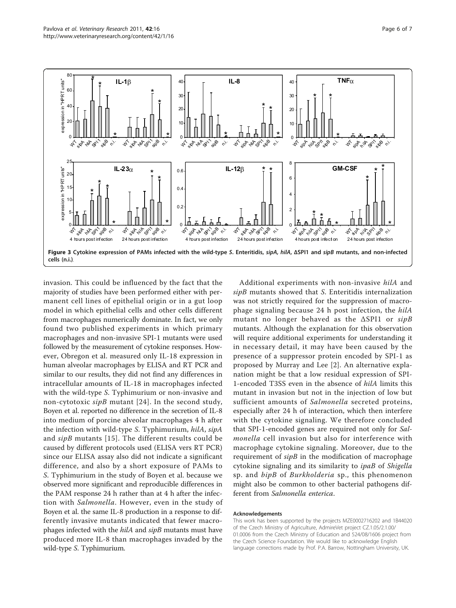<span id="page-5-0"></span>

invasion. This could be influenced by the fact that the majority of studies have been performed either with permanent cell lines of epithelial origin or in a gut loop model in which epithelial cells and other cells different from macrophages numerically dominate. In fact, we only found two published experiments in which primary macrophages and non-invasive SPI-1 mutants were used followed by the measurement of cytokine responses. However, Obregon et al. measured only IL-18 expression in human alveolar macrophages by ELISA and RT PCR and similar to our results, they did not find any differences in intracellular amounts of IL-18 in macrophages infected with the wild-type S. Typhimurium or non-invasive and non-cytotoxic sipB mutant [[24\]](#page-6-0). In the second study, Boyen et al. reported no difference in the secretion of IL-8 into medium of porcine alveolar macrophages 4 h after the infection with wild-type S. Typhimurium, hilA, sipA and sipB mutants [[15\]](#page-6-0). The different results could be caused by different protocols used (ELISA vers RT PCR) since our ELISA assay also did not indicate a significant difference, and also by a short exposure of PAMs to S. Typhimurium in the study of Boyen et al. because we observed more significant and reproducible differences in the PAM response 24 h rather than at 4 h after the infection with Salmonella. However, even in the study of Boyen et al. the same IL-8 production in a response to differently invasive mutants indicated that fewer macrophages infected with the hilA and sipB mutants must have produced more IL-8 than macrophages invaded by the wild-type S. Typhimurium.

Additional experiments with non-invasive hilA and sipB mutants showed that S. Enteritidis internalization was not strictly required for the suppression of macrophage signaling because 24 h post infection, the hilA mutant no longer behaved as the ΔSPI1 or sipB mutants. Although the explanation for this observation will require additional experiments for understanding it in necessary detail, it may have been caused by the presence of a suppressor protein encoded by SPI-1 as proposed by Murray and Lee [\[2](#page-6-0)]. An alternative explanation might be that a low residual expression of SPI-1-encoded T3SS even in the absence of hilA limits this mutant in invasion but not in the injection of low but sufficient amounts of Salmonella secreted proteins, especially after 24 h of interaction, which then interfere with the cytokine signaling. We therefore concluded that SPI-1-encoded genes are required not only for Salmonella cell invasion but also for interference with macrophage cytokine signaling. Moreover, due to the requirement of  $si pB$  in the modification of macrophage cytokine signaling and its similarity to ipaB of Shigella sp. and *bipB* of *Burkholderia* sp., this phenomenon might also be common to other bacterial pathogens different from Salmonella enterica.

#### Acknowledgements

This work has been supported by the projects MZE0002716202 and 1B44020 of the Czech Ministry of Agriculture, AdmireVet project CZ.1.05/2.1.00/ 01.0006 from the Czech Ministry of Education and 524/08/1606 project from the Czech Science Foundation. We would like to acknowledge English language corrections made by Prof. P.A. Barrow, Nottingham University, UK.